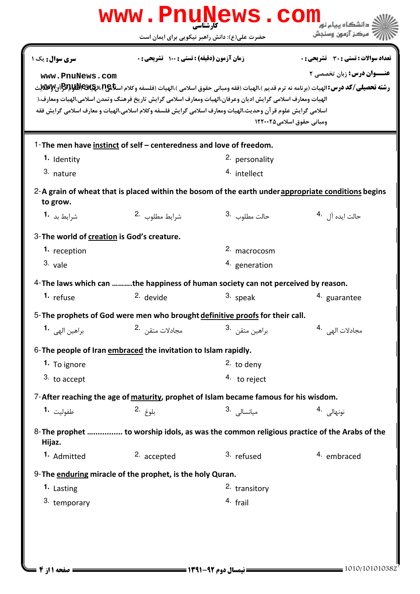| www.PnuNews.com                                                                      |                                                                                                                                                                                                                                                                         |                                               |                                                                                                                                                                                                                                                                                         |  |
|--------------------------------------------------------------------------------------|-------------------------------------------------------------------------------------------------------------------------------------------------------------------------------------------------------------------------------------------------------------------------|-----------------------------------------------|-----------------------------------------------------------------------------------------------------------------------------------------------------------------------------------------------------------------------------------------------------------------------------------------|--|
|                                                                                      |                                                                                                                                                                                                                                                                         | حضرت علی(ع): دانش راهبر نیکویی برای ایمان است | مركز آزمون وسنجش                                                                                                                                                                                                                                                                        |  |
| سری سوال: یک ۱<br>www.PnuNews.com                                                    | زمان آزمون (دقیقه) : تستی ; 100 تشریحی ; .<br>الهيات ومعارف اسلامي گرايش اديان وعرفان،الهيات ومعارف اسلامي گرايش تاريخ فرهنگ وتمدن اسلامي،الهيات ومعارف،(<br>اسلامي گرايش علوم قرآن وحديث،الهيات ومعارف اسلامي گرايش فلسفه وكلام اسلامي،الهيات و معارف اسلامي گرايش فقه |                                               | <b>تعداد سوالات : تستی : 30 ٪ تشریحی : 0</b><br><b>عنــوان درس:</b> زبان تخصصی ۲<br><b>رشته تحصيلي/كد درس: ا</b> لهيات (برنامه نه ترم قديم )،الهيات (فقه ومباني حقوق اسلامي )،الهيات (فلسفه وكلام اس <b>لايا/اللهالالكالبابات</b> ) بال <b>ك</b> الايابان<br>ومباني حقوق اسلامي ١٢٢٠٠٢٥ |  |
| 1. Identity<br>3. nature                                                             | 1-The men have instinct of self – centeredness and love of freedom.                                                                                                                                                                                                     | <sup>2.</sup> personality<br>4. intellect     | 2-A grain of wheat that is placed within the bosom of the earth under appropriate conditions begins                                                                                                                                                                                     |  |
| to grow.<br>شرايط بد 1.                                                              | شرايط مطلوب 2.                                                                                                                                                                                                                                                          | حالت مطلوب <sup>.3</sup>                      | حالت ايده آل 4.                                                                                                                                                                                                                                                                         |  |
| 3-The world of creation is God's creature.<br>1. reception<br>$3.$ vale<br>1. refuse | 4-The laws which can the happiness of human society can not perceived by reason.<br>2. devide                                                                                                                                                                           | 2. macrocosm<br>4. generation<br>3. speak     | 4. guarantee                                                                                                                                                                                                                                                                            |  |
| براهين الهي 1.                                                                       | 5-The prophets of God were men who brought definitive proofs for their call.<br>مجادلات متقن 2.                                                                                                                                                                         | براهين متقن <sup>.3</sup>                     | مجادلات الهي                                                                                                                                                                                                                                                                            |  |
| 1. To ignore<br>3. to accept<br>طفوليت 1.<br>Hijaz.                                  | 6- The people of Iran embraced the invitation to Islam rapidly.<br>7-After reaching the age of maturity, prophet of Islam became famous for his wisdom.<br>بلوغ .2                                                                                                      | $2.$ to denv<br>4. to reject<br>3. میانسالی . | نونهالى . 4<br>8- The prophet  to worship idols, as was the common religious practice of the Arabs of the                                                                                                                                                                               |  |
| 1. Admitted<br>1. Lasting<br>3. temporary                                            | 2. accepted<br>9- The enduring miracle of the prophet, is the holy Quran.                                                                                                                                                                                               | 3. refused<br>2. transitory<br>4. frail       | 4. embraced                                                                                                                                                                                                                                                                             |  |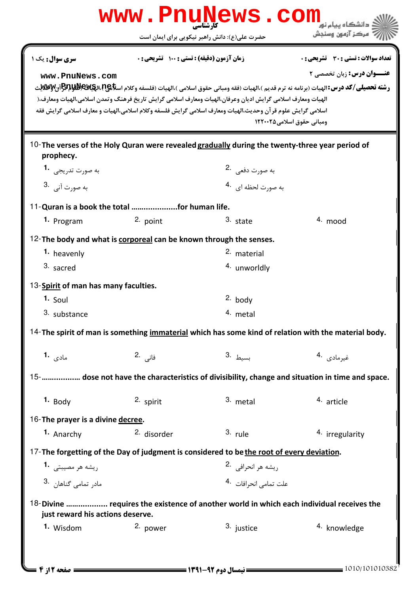|                                                                                                    |                                                  | www.PnuNews.com<br>حضرت علی(ع): دانش راهبر نیکویی برای ایمان است                                                                                                                                                           | مركز آزمون وسنجش                                                                                                                                                                                                                                       |  |  |
|----------------------------------------------------------------------------------------------------|--------------------------------------------------|----------------------------------------------------------------------------------------------------------------------------------------------------------------------------------------------------------------------------|--------------------------------------------------------------------------------------------------------------------------------------------------------------------------------------------------------------------------------------------------------|--|--|
| <b>سری سوال :</b> یک ۱<br>www.PnuNews.com                                                          | <b>زمان آزمون (دقیقه) : تستی : ۱۰۰ تشریحی: .</b> | الهيات ومعارف اسلامي گرايش اديان وعرفان،الهيات ومعارف اسلامي گرايش تاريخ فرهنگ وتمدن اسلامي،الهيات ومعارف،(<br>اسلامي گرايش علوم قر آن وحديث،الهيات ومعارف اسلامي گرايش فلسفه وكلام اسلامي،الهيات و معارف اسلامي گرايش فقه | تعداد سوالات : تستي : 30 ٪ تشريحي : 0<br><b>عنــوان درس:</b> زبان تخصصي ٢<br><b>رشته تحصيلي/كد درس: ا</b> لهيات (برنامه نه ترم قديم )،الهيات (فقه ومباني حقوق اسلامي )،الهيات (فلسفه وكلام اس <b>لايا/اللهابالكلابالكلياباليا</b> لي بال <b>ل</b> غياب |  |  |
|                                                                                                    |                                                  |                                                                                                                                                                                                                            | ومباني حقوق اسلامي1٢٢٠٠٢٥                                                                                                                                                                                                                              |  |  |
| prophecy.                                                                                          |                                                  | 10-The verses of the Holy Quran were revealed gradually during the twenty-three year period of                                                                                                                             |                                                                                                                                                                                                                                                        |  |  |
| به صورت تدريجي   • 1                                                                               |                                                  | به صورت دفعی 2.                                                                                                                                                                                                            |                                                                                                                                                                                                                                                        |  |  |
| به صورت آني. <sup>3</sup>                                                                          |                                                  | به صورت لحظه ای 4.                                                                                                                                                                                                         |                                                                                                                                                                                                                                                        |  |  |
|                                                                                                    | 11-Quran is a book the total for human life.     |                                                                                                                                                                                                                            |                                                                                                                                                                                                                                                        |  |  |
| 1. Program                                                                                         | 2. point                                         | 3. state                                                                                                                                                                                                                   | $4.$ mood                                                                                                                                                                                                                                              |  |  |
| 12- The body and what is corporeal can be known through the senses.                                |                                                  |                                                                                                                                                                                                                            |                                                                                                                                                                                                                                                        |  |  |
| 1. heavenly                                                                                        |                                                  | 2. material                                                                                                                                                                                                                |                                                                                                                                                                                                                                                        |  |  |
| 3. sacred                                                                                          |                                                  | 4. unworldly                                                                                                                                                                                                               |                                                                                                                                                                                                                                                        |  |  |
| 13-Spirit of man has many faculties.                                                               |                                                  |                                                                                                                                                                                                                            |                                                                                                                                                                                                                                                        |  |  |
| $1.$ Soul                                                                                          |                                                  | $2.$ body                                                                                                                                                                                                                  |                                                                                                                                                                                                                                                        |  |  |
| 3. substance                                                                                       |                                                  | 4. metal                                                                                                                                                                                                                   |                                                                                                                                                                                                                                                        |  |  |
|                                                                                                    |                                                  |                                                                                                                                                                                                                            | 14-The spirit of man is something immaterial which has some kind of relation with the material body.                                                                                                                                                   |  |  |
| مادى <b>1.</b>                                                                                     | فانی .2                                          | 3. بسيط                                                                                                                                                                                                                    | غيرمادي .4                                                                                                                                                                                                                                             |  |  |
| 15-     dose not have the characteristics of divisibility, change and situation in time and space. |                                                  |                                                                                                                                                                                                                            |                                                                                                                                                                                                                                                        |  |  |
| $1.$ Body                                                                                          | 2. spirit                                        | $3.$ metal                                                                                                                                                                                                                 | 4. article                                                                                                                                                                                                                                             |  |  |
| 16-The prayer is a divine decree.                                                                  |                                                  |                                                                                                                                                                                                                            |                                                                                                                                                                                                                                                        |  |  |
| 1. Anarchy                                                                                         | 2. disorder                                      | 3. rule                                                                                                                                                                                                                    | 4. irregularity                                                                                                                                                                                                                                        |  |  |
|                                                                                                    |                                                  | 17-The forgetting of the Day of judgment is considered to be the root of every deviation.                                                                                                                                  |                                                                                                                                                                                                                                                        |  |  |
| ريشه هر مصيبتي 1.                                                                                  |                                                  | ريشه هر انحرافي 2.                                                                                                                                                                                                         |                                                                                                                                                                                                                                                        |  |  |
| مادر تمامی گناهان .3                                                                               |                                                  | علت تمامى انحرافات 4.                                                                                                                                                                                                      |                                                                                                                                                                                                                                                        |  |  |
| just reward his actions deserve.                                                                   |                                                  |                                                                                                                                                                                                                            | 18-Divine  requires the existence of another world in which each individual receives the                                                                                                                                                               |  |  |
| 1. Wisdom                                                                                          | 2. power                                         | 3. justice                                                                                                                                                                                                                 | 4. knowledge                                                                                                                                                                                                                                           |  |  |
|                                                                                                    |                                                  |                                                                                                                                                                                                                            |                                                                                                                                                                                                                                                        |  |  |

= صفحه 2 <mark>از 4</mark> =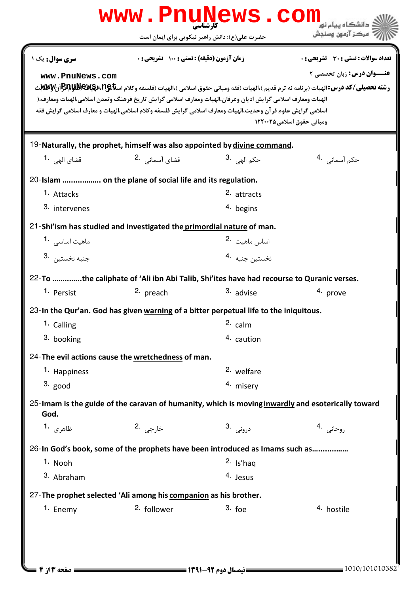|                                                                                                                                                                                                                                                                                                                                                                                                                                                                                                  | www.PnuNews.com                                                                          | حضرت علی(ع): دانش راهبر نیکویی برای ایمان است | مركز آزمون وسنحش                                                                                  |  |  |
|--------------------------------------------------------------------------------------------------------------------------------------------------------------------------------------------------------------------------------------------------------------------------------------------------------------------------------------------------------------------------------------------------------------------------------------------------------------------------------------------------|------------------------------------------------------------------------------------------|-----------------------------------------------|---------------------------------------------------------------------------------------------------|--|--|
| <b>سری سوال :</b> یک ۱                                                                                                                                                                                                                                                                                                                                                                                                                                                                           | زمان آزمون (دقیقه) : تستی : 100 تشریحی : 0                                               |                                               | تعداد سوالات : تستي : 30 ٪ تشريحي : 0                                                             |  |  |
| <b>عنـــوان درس:</b> زبان تخصصی ۲<br>www.PnuNews.com<br><b>رشته تحصيلي/كد درس: ا</b> لهيات (برنامه نه ترم قديم )،الهيات (فقه ومباني حقوق اسلامي )،الهيات (فلسفه وكلام اس <b>لايا/اللهالكلة BAW) (المسلام</b> ع).ال <b>ك</b> الايا/BAW)<br>الهيات ومعارف اسلامي گرايش اديان وعرفان،الهيات ومعارف اسلامي گرايش تاريخ فرهنگ وتمدن اسلامي،الهيات ومعارف،(<br>اسلامي گرايش علوم قرآن وحديث،الهيات ومعارف اسلامي گرايش فلسفه وكلام اسلامي،الهيات و معارف اسلامي گرايش فقه<br>ومباني حقوق اسلامي1٢٢٠٠٢٥ |                                                                                          |                                               |                                                                                                   |  |  |
|                                                                                                                                                                                                                                                                                                                                                                                                                                                                                                  | 19-Naturally, the prophet, himself was also appointed by divine command.                 |                                               |                                                                                                   |  |  |
| قضای ال <sub>ھی</sub> <b>1</b> ۰                                                                                                                                                                                                                                                                                                                                                                                                                                                                 | قضای آسمانی 2.                                                                           | حك <sub>م</sub> ال <sub>هي،</sub> 3.          | حکم آسمانی . 4                                                                                    |  |  |
|                                                                                                                                                                                                                                                                                                                                                                                                                                                                                                  | 20-Islam  on the plane of social life and its regulation.                                |                                               |                                                                                                   |  |  |
| 1. Attacks                                                                                                                                                                                                                                                                                                                                                                                                                                                                                       |                                                                                          | 2. attracts                                   |                                                                                                   |  |  |
| 3. intervenes                                                                                                                                                                                                                                                                                                                                                                                                                                                                                    |                                                                                          | 4. begins                                     |                                                                                                   |  |  |
|                                                                                                                                                                                                                                                                                                                                                                                                                                                                                                  | 21-Shi'ism has studied and investigated the primordial nature of man.                    |                                               |                                                                                                   |  |  |
| ماهیت اساسی <b>1</b> ۰                                                                                                                                                                                                                                                                                                                                                                                                                                                                           |                                                                                          | اساس ماهيت <sup>.2</sup>                      |                                                                                                   |  |  |
| 3. خنبه نخستين                                                                                                                                                                                                                                                                                                                                                                                                                                                                                   |                                                                                          | نخستين جنبه 4.                                |                                                                                                   |  |  |
|                                                                                                                                                                                                                                                                                                                                                                                                                                                                                                  | 22-To the caliphate of 'Ali ibn Abi Talib, Shi'ites have had recourse to Quranic verses. |                                               |                                                                                                   |  |  |
| 1. Persist                                                                                                                                                                                                                                                                                                                                                                                                                                                                                       | 2. preach                                                                                | 3. advise                                     | 4. prove                                                                                          |  |  |
|                                                                                                                                                                                                                                                                                                                                                                                                                                                                                                  | 23-In the Qur'an. God has given warning of a bitter perpetual life to the iniquitous.    |                                               |                                                                                                   |  |  |
| 1. Calling                                                                                                                                                                                                                                                                                                                                                                                                                                                                                       |                                                                                          | $2.$ calm                                     |                                                                                                   |  |  |
| 3. booking                                                                                                                                                                                                                                                                                                                                                                                                                                                                                       |                                                                                          | 4. caution                                    |                                                                                                   |  |  |
|                                                                                                                                                                                                                                                                                                                                                                                                                                                                                                  | 24-The evil actions cause the wretchedness of man.                                       |                                               |                                                                                                   |  |  |
| 1. Happiness                                                                                                                                                                                                                                                                                                                                                                                                                                                                                     |                                                                                          | 2. welfare                                    |                                                                                                   |  |  |
| $3.$ good                                                                                                                                                                                                                                                                                                                                                                                                                                                                                        |                                                                                          | 4. misery                                     |                                                                                                   |  |  |
| God.                                                                                                                                                                                                                                                                                                                                                                                                                                                                                             |                                                                                          |                                               | 25-Imam is the guide of the caravan of humanity, which is moving inwardly and esoterically toward |  |  |
| ظاهري <b>1.</b>                                                                                                                                                                                                                                                                                                                                                                                                                                                                                  | خارجي 2.                                                                                 | درونى .3                                      | روحانی .4                                                                                         |  |  |
|                                                                                                                                                                                                                                                                                                                                                                                                                                                                                                  | 26-In God's book, some of the prophets have been introduced as Imams such as             |                                               |                                                                                                   |  |  |
| 1. Nooh                                                                                                                                                                                                                                                                                                                                                                                                                                                                                          |                                                                                          | $2.$ Is'haq                                   |                                                                                                   |  |  |
| 3. Abraham                                                                                                                                                                                                                                                                                                                                                                                                                                                                                       |                                                                                          | 4. Jesus                                      |                                                                                                   |  |  |
|                                                                                                                                                                                                                                                                                                                                                                                                                                                                                                  | 27-The prophet selected 'Ali among his companion as his brother.                         |                                               |                                                                                                   |  |  |
| 1. Enemy                                                                                                                                                                                                                                                                                                                                                                                                                                                                                         | 2. follower                                                                              | $3.$ foe                                      | 4. hostile                                                                                        |  |  |
|                                                                                                                                                                                                                                                                                                                                                                                                                                                                                                  |                                                                                          |                                               |                                                                                                   |  |  |
|                                                                                                                                                                                                                                                                                                                                                                                                                                                                                                  |                                                                                          |                                               |                                                                                                   |  |  |
|                                                                                                                                                                                                                                                                                                                                                                                                                                                                                                  |                                                                                          |                                               |                                                                                                   |  |  |